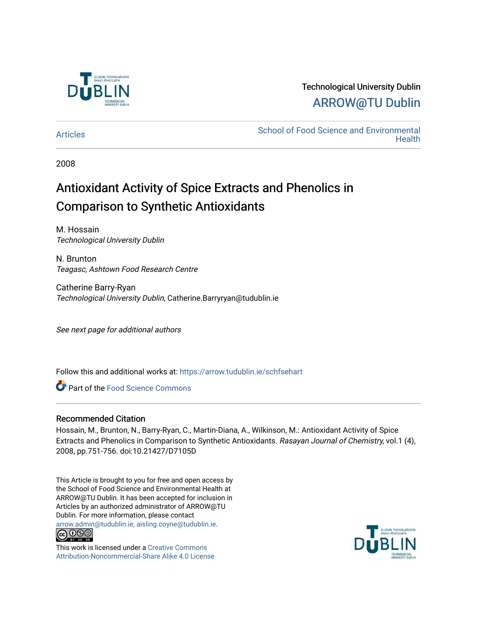

# Technological University Dublin [ARROW@TU Dublin](https://arrow.tudublin.ie/)

[Articles](https://arrow.tudublin.ie/schfsehart) **School of Food Science and Environmental Health** 

2008

# Antioxidant Activity of Spice Extracts and Phenolics in Comparison to Synthetic Antioxidants

M. Hossain Technological University Dublin

N. Brunton Teagasc, Ashtown Food Research Centre

Catherine Barry-Ryan Technological University Dublin, Catherine.Barryryan@tudublin.ie

See next page for additional authors

Follow this and additional works at: [https://arrow.tudublin.ie/schfsehart](https://arrow.tudublin.ie/schfsehart?utm_source=arrow.tudublin.ie%2Fschfsehart%2F124&utm_medium=PDF&utm_campaign=PDFCoverPages) 

**C** Part of the Food Science Commons

### Recommended Citation

Hossain, M., Brunton, N., Barry-Ryan, C., Martin-Diana, A., Wilkinson, M.: Antioxidant Activity of Spice Extracts and Phenolics in Comparison to Synthetic Antioxidants. Rasayan Journal of Chemistry, vol.1 (4), 2008, pp.751-756. doi:10.21427/D7105D

This Article is brought to you for free and open access by the School of Food Science and Environmental Health at ARROW@TU Dublin. It has been accepted for inclusion in Articles by an authorized administrator of ARROW@TU Dublin. For more information, please contact [arrow.admin@tudublin.ie, aisling.coyne@tudublin.ie](mailto:arrow.admin@tudublin.ie,%20aisling.coyne@tudublin.ie).



This work is licensed under a [Creative Commons](http://creativecommons.org/licenses/by-nc-sa/4.0/) [Attribution-Noncommercial-Share Alike 4.0 License](http://creativecommons.org/licenses/by-nc-sa/4.0/)

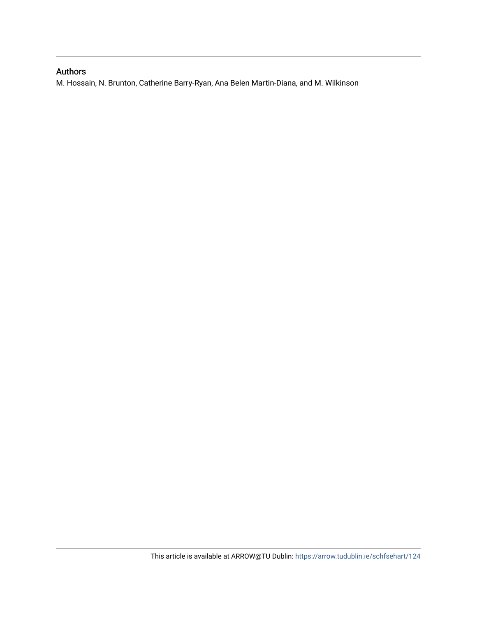## Authors

M. Hossain, N. Brunton, Catherine Barry-Ryan, Ana Belen Martin-Diana, and M. Wilkinson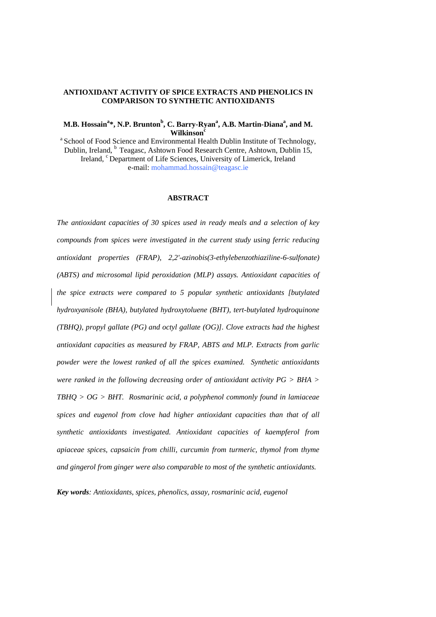#### **ANTIOXIDANT ACTIVITY OF SPICE EXTRACTS AND PHENOLICS IN COMPARISON TO SYNTHETIC ANTIOXIDANTS**

#### **M.B. Hossain<sup>a</sup> \*, N.P. Brunton<sup>b</sup> , C. Barry-Ryan<sup>a</sup> , A.B. Martin-Dianaa , and M. Wilkinson<sup>c</sup>**

<sup>a</sup> School of Food Science and Environmental Health Dublin Institute of Technology, Dublin, Ireland, <sup>b</sup> Teagasc, Ashtown Food Research Centre, Ashtown, Dublin 15, Ireland, <sup>c</sup> Department of Life Sciences, University of Limerick, Ireland e-mail: mohammad.hossain@teagasc.ie

#### **ABSTRACT**

*The antioxidant capacities of 30 spices used in ready meals and a selection of key compounds from spices were investigated in the current study using ferric reducing antioxidant properties (FRAP), 2,2'-azinobis(3-ethylebenzothiaziline-6-sulfonate) (ABTS) and microsomal lipid peroxidation (MLP) assays. Antioxidant capacities of the spice extracts were compared to 5 popular synthetic antioxidants [butylated hydroxyanisole (BHA), butylated hydroxytoluene (BHT), tert-butylated hydroquinone (TBHQ), propyl gallate (PG) and octyl gallate (OG)]. Clove extracts had the highest antioxidant capacities as measured by FRAP, ABTS and MLP. Extracts from garlic powder were the lowest ranked of all the spices examined. Synthetic antioxidants were ranked in the following decreasing order of antioxidant activity PG > BHA > TBHQ > OG > BHT. Rosmarinic acid, a polyphenol commonly found in lamiaceae spices and eugenol from clove had higher antioxidant capacities than that of all synthetic antioxidants investigated. Antioxidant capacities of kaempferol from apiaceae spices, capsaicin from chilli, curcumin from turmeric, thymol from thyme and gingerol from ginger were also comparable to most of the synthetic antioxidants.* 

*Key words: Antioxidants, spices, phenolics, assay, rosmarinic acid, eugenol*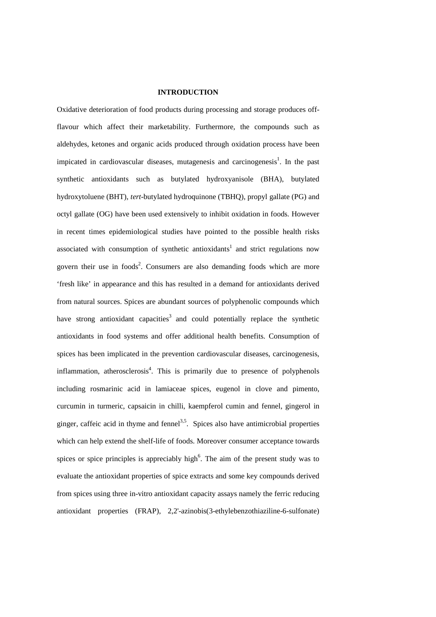#### **INTRODUCTION**

Oxidative deterioration of food products during processing and storage produces offflavour which affect their marketability. Furthermore, the compounds such as aldehydes, ketones and organic acids produced through oxidation process have been impicated in cardiovascular diseases, mutagenesis and carcinogenesis<sup>1</sup>. In the past synthetic antioxidants such as butylated hydroxyanisole (BHA), butylated hydroxytoluene (BHT), *tert*-butylated hydroquinone (TBHQ), propyl gallate (PG) and octyl gallate (OG) have been used extensively to inhibit oxidation in foods. However in recent times epidemiological studies have pointed to the possible health risks associated with consumption of synthetic antioxidants<sup>1</sup> and strict regulations now govern their use in foods<sup>2</sup>. Consumers are also demanding foods which are more 'fresh like' in appearance and this has resulted in a demand for antioxidants derived from natural sources. Spices are abundant sources of polyphenolic compounds which have strong antioxidant capacities<sup>3</sup> and could potentially replace the synthetic antioxidants in food systems and offer additional health benefits. Consumption of spices has been implicated in the prevention cardiovascular diseases, carcinogenesis, inflammation, atherosclerosis<sup>4</sup>. This is primarily due to presence of polyphenols including rosmarinic acid in lamiaceae spices, eugenol in clove and pimento, curcumin in turmeric, capsaicin in chilli, kaempferol cumin and fennel, gingerol in ginger, caffeic acid in thyme and fennel<sup>3,5</sup>. Spices also have antimicrobial properties which can help extend the shelf-life of foods. Moreover consumer acceptance towards spices or spice principles is appreciably high<sup>6</sup>. The aim of the present study was to evaluate the antioxidant properties of spice extracts and some key compounds derived from spices using three in-vitro antioxidant capacity assays namely the ferric reducing antioxidant properties (FRAP), 2,2'-azinobis(3-ethylebenzothiaziline-6-sulfonate)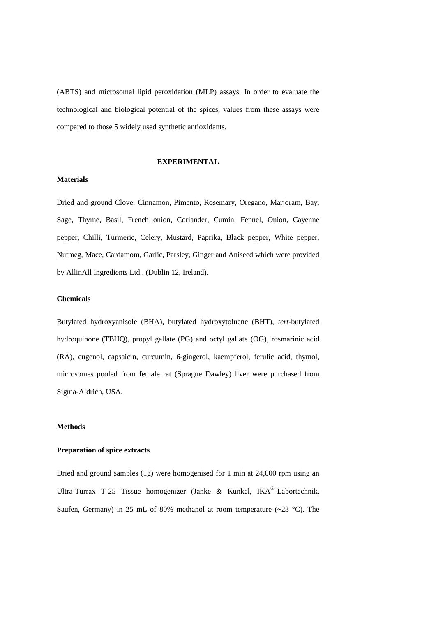(ABTS) and microsomal lipid peroxidation (MLP) assays. In order to evaluate the technological and biological potential of the spices, values from these assays were compared to those 5 widely used synthetic antioxidants.

#### **EXPERIMENTAL**

#### **Materials**

Dried and ground Clove, Cinnamon, Pimento, Rosemary, Oregano, Marjoram, Bay, Sage, Thyme, Basil, French onion, Coriander, Cumin, Fennel, Onion, Cayenne pepper, Chilli, Turmeric, Celery, Mustard, Paprika, Black pepper, White pepper, Nutmeg, Mace, Cardamom, Garlic, Parsley, Ginger and Aniseed which were provided by AllinAll Ingredients Ltd., (Dublin 12, Ireland).

#### **Chemicals**

Butylated hydroxyanisole (BHA), butylated hydroxytoluene (BHT), *tert*-butylated hydroquinone (TBHQ), propyl gallate (PG) and octyl gallate (OG), rosmarinic acid (RA), eugenol, capsaicin, curcumin, 6-gingerol, kaempferol, ferulic acid, thymol, microsomes pooled from female rat (Sprague Dawley) liver were purchased from Sigma-Aldrich, USA.

#### **Methods**

#### **Preparation of spice extracts**

Dried and ground samples (1g) were homogenised for 1 min at 24,000 rpm using an Ultra-Turrax T-25 Tissue homogenizer (Janke & Kunkel, IKA®-Labortechnik, Saufen, Germany) in 25 mL of 80% methanol at room temperature  $(\sim 23 \text{ °C})$ . The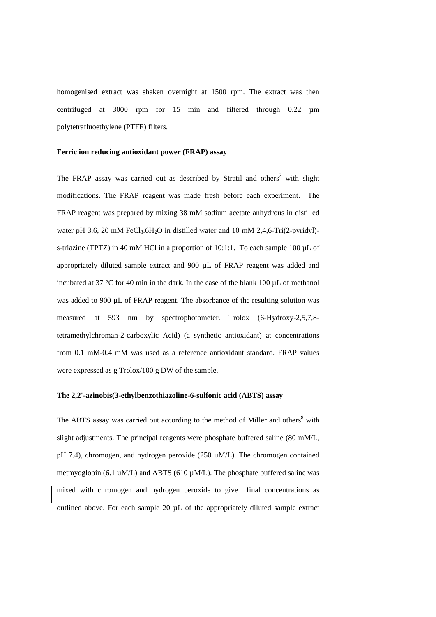homogenised extract was shaken overnight at 1500 rpm. The extract was then centrifuged at 3000 rpm for 15 min and filtered through 0.22 µm polytetrafluoethylene (PTFE) filters.

#### **Ferric ion reducing antioxidant power (FRAP) assay**

The FRAP assay was carried out as described by Stratil and others<sup>7</sup> with slight modifications. The FRAP reagent was made fresh before each experiment. The FRAP reagent was prepared by mixing 38 mM sodium acetate anhydrous in distilled water pH 3.6, 20 mM FeCl<sub>3</sub>.6H<sub>2</sub>O in distilled water and 10 mM 2,4,6-Tri(2-pyridyl)s-triazine (TPTZ) in 40 mM HCl in a proportion of 10:1:1. To each sample 100 µL of appropriately diluted sample extract and 900 µL of FRAP reagent was added and incubated at 37 °C for 40 min in the dark. In the case of the blank 100 µL of methanol was added to 900 µL of FRAP reagent. The absorbance of the resulting solution was measured at 593 nm by spectrophotometer. Trolox (6-Hydroxy-2,5,7,8 tetramethylchroman-2-carboxylic Acid) (a synthetic antioxidant) at concentrations from 0.1 mM-0.4 mM was used as a reference antioxidant standard. FRAP values were expressed as g Trolox/100 g DW of the sample.

#### **The 2,2'-azinobis(3-ethylbenzothiazoline-6-sulfonic acid (ABTS) assay**

The ABTS assay was carried out according to the method of Miller and others<sup>8</sup> with slight adjustments. The principal reagents were phosphate buffered saline (80 mM/L, pH 7.4), chromogen, and hydrogen peroxide (250 µM/L). The chromogen contained metmyoglobin (6.1  $\mu$ M/L) and ABTS (610  $\mu$ M/L). The phosphate buffered saline was mixed with chromogen and hydrogen peroxide to give -final concentrations as outlined above. For each sample 20 µL of the appropriately diluted sample extract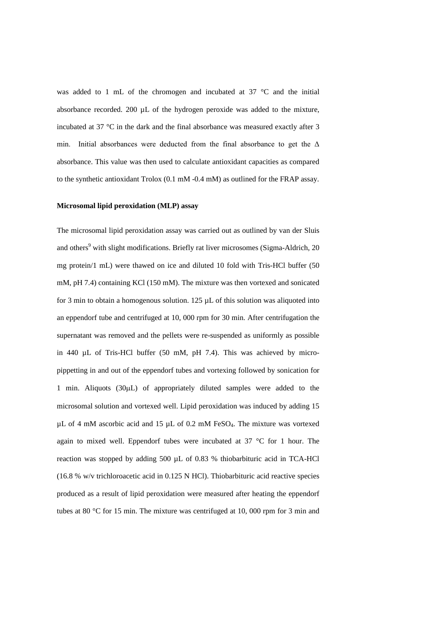was added to 1 mL of the chromogen and incubated at 37 °C and the initial absorbance recorded. 200 µL of the hydrogen peroxide was added to the mixture, incubated at 37 °C in the dark and the final absorbance was measured exactly after 3 min. Initial absorbances were deducted from the final absorbance to get the  $\Delta$ absorbance. This value was then used to calculate antioxidant capacities as compared to the synthetic antioxidant Trolox (0.1 mM -0.4 mM) as outlined for the FRAP assay.

#### **Microsomal lipid peroxidation (MLP) assay**

The microsomal lipid peroxidation assay was carried out as outlined by van der Sluis and others<sup>9</sup> with slight modifications. Briefly rat liver microsomes (Sigma-Aldrich, 20 mg protein/1 mL) were thawed on ice and diluted 10 fold with Tris-HCl buffer (50 mM, pH 7.4) containing KCl (150 mM). The mixture was then vortexed and sonicated for 3 min to obtain a homogenous solution.  $125 \mu L$  of this solution was aliquoted into an eppendorf tube and centrifuged at 10, 000 rpm for 30 min. After centrifugation the supernatant was removed and the pellets were re-suspended as uniformly as possible in 440 µL of Tris-HCl buffer (50 mM, pH 7.4). This was achieved by micropippetting in and out of the eppendorf tubes and vortexing followed by sonication for 1 min. Aliquots (30µL) of appropriately diluted samples were added to the microsomal solution and vortexed well. Lipid peroxidation was induced by adding 15  $\mu$ L of 4 mM ascorbic acid and 15  $\mu$ L of 0.2 mM FeSO<sub>4</sub>. The mixture was vortexed again to mixed well. Eppendorf tubes were incubated at 37 °C for 1 hour. The reaction was stopped by adding 500 µL of 0.83 % thiobarbituric acid in TCA-HCl (16.8 % w/v trichloroacetic acid in 0.125 N HCl). Thiobarbituric acid reactive species produced as a result of lipid peroxidation were measured after heating the eppendorf tubes at 80 °C for 15 min. The mixture was centrifuged at 10, 000 rpm for 3 min and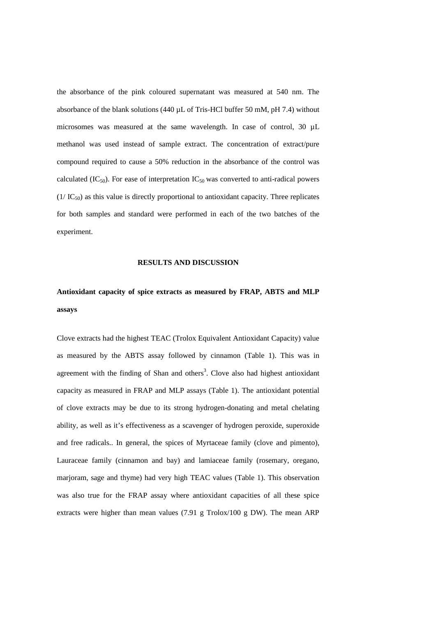the absorbance of the pink coloured supernatant was measured at 540 nm. The absorbance of the blank solutions  $(440 \mu L)$  of Tris-HCl buffer 50 mM, pH 7.4) without microsomes was measured at the same wavelength. In case of control, 30 µL methanol was used instead of sample extract. The concentration of extract/pure compound required to cause a 50% reduction in the absorbance of the control was calculated (IC<sub>50</sub>). For ease of interpretation IC<sub>50</sub> was converted to anti-radical powers  $(1/\text{IC}_{50})$  as this value is directly proportional to antioxidant capacity. Three replicates for both samples and standard were performed in each of the two batches of the experiment.

#### **RESULTS AND DISCUSSION**

# **Antioxidant capacity of spice extracts as measured by FRAP, ABTS and MLP assays**

Clove extracts had the highest TEAC (Trolox Equivalent Antioxidant Capacity) value as measured by the ABTS assay followed by cinnamon (Table 1). This was in agreement with the finding of Shan and others<sup>3</sup>. Clove also had highest antioxidant capacity as measured in FRAP and MLP assays (Table 1). The antioxidant potential of clove extracts may be due to its strong hydrogen-donating and metal chelating ability, as well as it's effectiveness as a scavenger of hydrogen peroxide, superoxide and free radicals.. In general, the spices of Myrtaceae family (clove and pimento), Lauraceae family (cinnamon and bay) and lamiaceae family (rosemary, oregano, marjoram, sage and thyme) had very high TEAC values (Table 1). This observation was also true for the FRAP assay where antioxidant capacities of all these spice extracts were higher than mean values (7.91 g Trolox/100 g DW). The mean ARP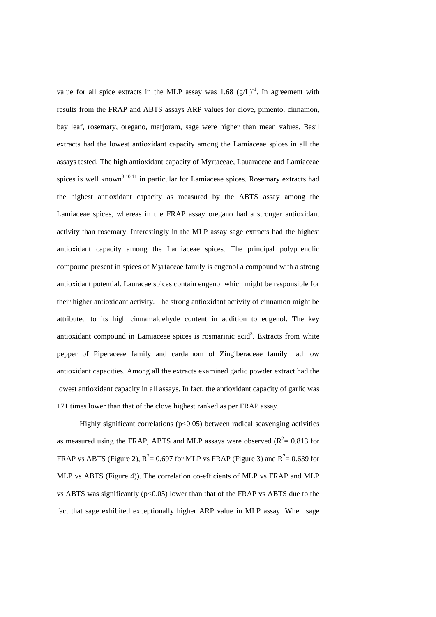value for all spice extracts in the MLP assay was  $1.68 \text{ (g/L)}^{-1}$ . In agreement with results from the FRAP and ABTS assays ARP values for clove, pimento, cinnamon, bay leaf, rosemary, oregano, marjoram, sage were higher than mean values. Basil extracts had the lowest antioxidant capacity among the Lamiaceae spices in all the assays tested. The high antioxidant capacity of Myrtaceae, Lauaraceae and Lamiaceae spices is well known<sup>3,10,11</sup> in particular for Lamiaceae spices. Rosemary extracts had the highest antioxidant capacity as measured by the ABTS assay among the Lamiaceae spices, whereas in the FRAP assay oregano had a stronger antioxidant activity than rosemary. Interestingly in the MLP assay sage extracts had the highest antioxidant capacity among the Lamiaceae spices. The principal polyphenolic compound present in spices of Myrtaceae family is eugenol a compound with a strong antioxidant potential. Lauracae spices contain eugenol which might be responsible for their higher antioxidant activity. The strong antioxidant activity of cinnamon might be attributed to its high cinnamaldehyde content in addition to eugenol. The key antioxidant compound in Lamiaceae spices is rosmarinic acid<sup>3</sup>. Extracts from white pepper of Piperaceae family and cardamom of Zingiberaceae family had low antioxidant capacities. Among all the extracts examined garlic powder extract had the lowest antioxidant capacity in all assays. In fact, the antioxidant capacity of garlic was 171 times lower than that of the clove highest ranked as per FRAP assay.

Highly significant correlations ( $p<0.05$ ) between radical scavenging activities as measured using the FRAP, ABTS and MLP assays were observed ( $R^2 = 0.813$  for FRAP vs ABTS (Figure 2),  $R^2 = 0.697$  for MLP vs FRAP (Figure 3) and  $R^2 = 0.639$  for MLP vs ABTS (Figure 4)). The correlation co-efficients of MLP vs FRAP and MLP vs ABTS was significantly ( $p<0.05$ ) lower than that of the FRAP vs ABTS due to the fact that sage exhibited exceptionally higher ARP value in MLP assay. When sage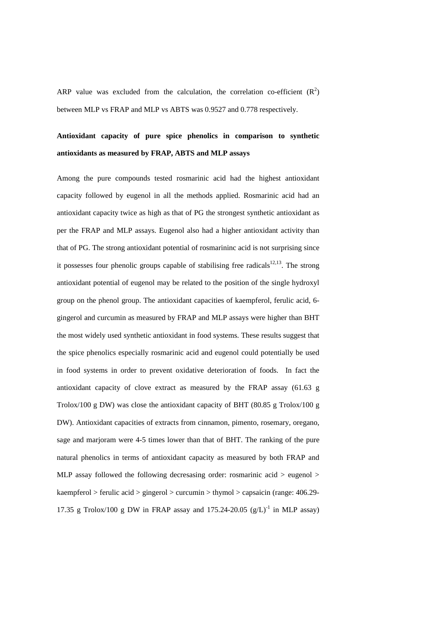ARP value was excluded from the calculation, the correlation co-efficient  $(R^2)$ between MLP vs FRAP and MLP vs ABTS was 0.9527 and 0.778 respectively.

# **Antioxidant capacity of pure spice phenolics in comparison to synthetic antioxidants as measured by FRAP, ABTS and MLP assays**

Among the pure compounds tested rosmarinic acid had the highest antioxidant capacity followed by eugenol in all the methods applied. Rosmarinic acid had an antioxidant capacity twice as high as that of PG the strongest synthetic antioxidant as per the FRAP and MLP assays. Eugenol also had a higher antioxidant activity than that of PG. The strong antioxidant potential of rosmarininc acid is not surprising since it possesses four phenolic groups capable of stabilising free radicals $12,13$ . The strong antioxidant potential of eugenol may be related to the position of the single hydroxyl group on the phenol group. The antioxidant capacities of kaempferol, ferulic acid, 6 gingerol and curcumin as measured by FRAP and MLP assays were higher than BHT the most widely used synthetic antioxidant in food systems. These results suggest that the spice phenolics especially rosmarinic acid and eugenol could potentially be used in food systems in order to prevent oxidative deterioration of foods. In fact the antioxidant capacity of clove extract as measured by the FRAP assay (61.63 g Trolox/100 g DW) was close the antioxidant capacity of BHT (80.85 g Trolox/100 g DW). Antioxidant capacities of extracts from cinnamon, pimento, rosemary, oregano, sage and marjoram were 4-5 times lower than that of BHT. The ranking of the pure natural phenolics in terms of antioxidant capacity as measured by both FRAP and MLP assay followed the following decresasing order: rosmarinic acid  $>$  eugenol  $>$ kaempferol > ferulic acid > gingerol > curcumin > thymol > capsaicin (range: 406.29- 17.35 g Trolox/100 g DW in FRAP assay and 175.24-20.05  $(g/L)^{-1}$  in MLP assay)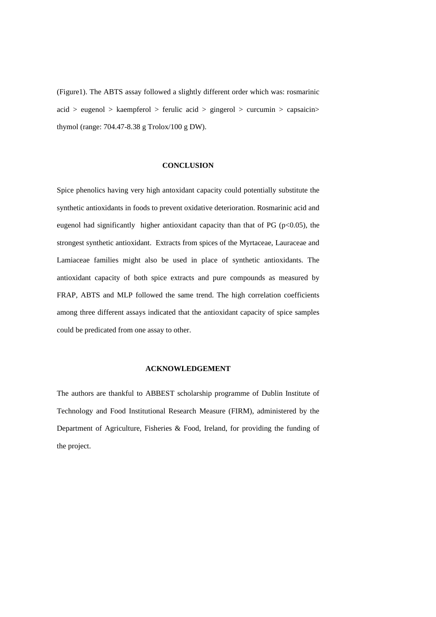(Figure1). The ABTS assay followed a slightly different order which was: rosmarinic  $acid > eugenol > kaempferol > ferulic acid > gingerol > curcumin > capsaicin >$ thymol (range: 704.47-8.38 g Trolox/100 g DW).

#### **CONCLUSION**

Spice phenolics having very high antoxidant capacity could potentially substitute the synthetic antioxidants in foods to prevent oxidative deterioration. Rosmarinic acid and eugenol had significantly higher antioxidant capacity than that of PG ( $p<0.05$ ), the strongest synthetic antioxidant. Extracts from spices of the Myrtaceae, Lauraceae and Lamiaceae families might also be used in place of synthetic antioxidants. The antioxidant capacity of both spice extracts and pure compounds as measured by FRAP, ABTS and MLP followed the same trend. The high correlation coefficients among three different assays indicated that the antioxidant capacity of spice samples could be predicated from one assay to other.

#### **ACKNOWLEDGEMENT**

The authors are thankful to ABBEST scholarship programme of Dublin Institute of Technology and Food Institutional Research Measure (FIRM), administered by the Department of Agriculture, Fisheries & Food, Ireland, for providing the funding of the project.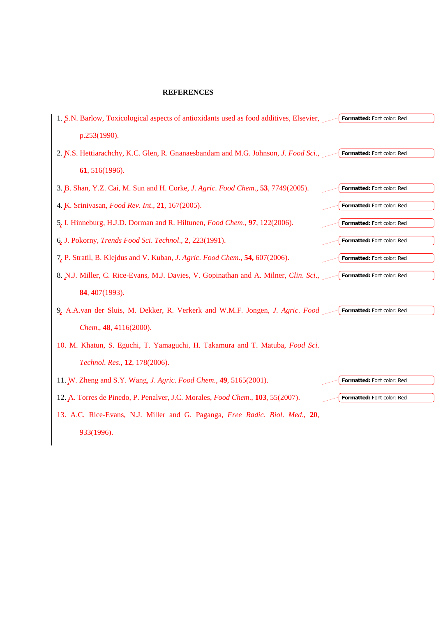#### **REFERENCES**

| 1. S.N. Barlow, Toxicological aspects of antioxidants used as food additives, Elsevier,<br>Formatted: Font color: Red |
|-----------------------------------------------------------------------------------------------------------------------|
| p.253(1990).                                                                                                          |
| 2. N.S. Hettiarachchy, K.C. Glen, R. Gnanaesbandam and M.G. Johnson, J. Food Sci., __<br>Formatted: Font color: Red   |
| 61, 516(1996).                                                                                                        |
| 3. B. Shan, Y.Z. Cai, M. Sun and H. Corke, J. Agric. Food Chem., 53, 7749(2005).<br>Formatted: Font color: Red        |
| 4. K. Srinivasan, <i>Food Rev. Int.</i> , 21, 167(2005).<br>Formatted: Font color: Red                                |
| 5. I. Hinneburg, H.J.D. Dorman and R. Hiltunen, <i>Food Chem.</i> , 97, 122(2006).<br>Formatted: Font color: Red      |
| 6. J. Pokorny, Trends Food Sci. Technol., 2, 223(1991).<br>Formatted: Font color: Red                                 |
| 7. P. Stratil, B. Klejdus and V. Kuban, J. Agric. Food Chem., 54, 607(2006).<br>Formatted: Font color: Red            |
| 8. N.J. Miller, C. Rice-Evans, M.J. Davies, V. Gopinathan and A. Milner, Clin. Sci., __<br>Formatted: Font color: Red |
| 84, 407(1993).                                                                                                        |
| 9. A.A.van der Sluis, M. Dekker, R. Verkerk and W.M.F. Jongen, J. Agric. Food<br>Formatted: Font color: Red           |
| Chem., 48, 4116(2000).                                                                                                |
| 10. M. Khatun, S. Eguchi, T. Yamaguchi, H. Takamura and T. Matuba, Food Sci.                                          |
| Technol. Res., 12, 178(2006).                                                                                         |
| 11. W. Zheng and S.Y. Wang, J. Agric. Food Chem., 49, 5165(2001).<br>Formatted: Font color: Red                       |
| 12. A. Torres de Pinedo, P. Penalver, J.C. Morales, Food Chem., 103, 55(2007).<br>Formatted: Font color: Red          |
| 13. A.C. Rice-Evans, N.J. Miller and G. Paganga, Free Radic. Biol. Med., 20,                                          |

933(1996).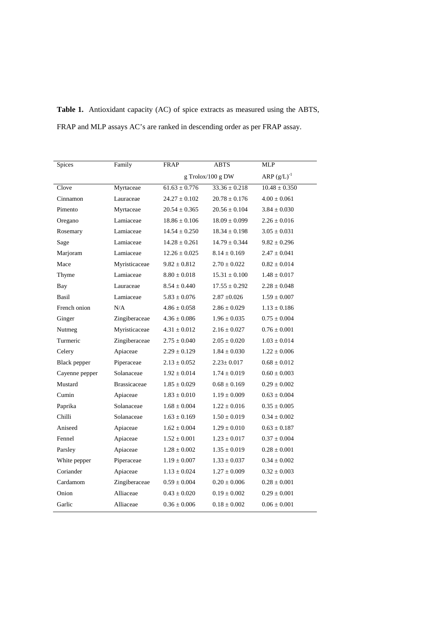| Spices              | Family              | <b>FRAP</b>       | <b>ABTS</b>       | <b>MLP</b>        |
|---------------------|---------------------|-------------------|-------------------|-------------------|
|                     |                     | g Trolox/100 g DW |                   | ARP $(g/L)^{-1}$  |
| Clove               | Myrtaceae           | $61.63 \pm 0.776$ | $33.36 + 0.218$   | $10.48 \pm 0.350$ |
| Cinnamon            | Lauraceae           | $24.27 \pm 0.102$ | $20.78 \pm 0.176$ | $4.00 \pm 0.061$  |
| Pimento             | Myrtaceae           | $20.54 \pm 0.365$ | $20.56 \pm 0.104$ | $3.84 \pm 0.030$  |
| Oregano             | Lamiaceae           | $18.86 \pm 0.106$ | $18.09 \pm 0.099$ | $2.26 \pm 0.016$  |
| Rosemary            | Lamiaceae           | $14.54 \pm 0.250$ | $18.34 \pm 0.198$ | $3.05 \pm 0.031$  |
| Sage                | Lamiaceae           | $14.28 \pm 0.261$ | $14.79 \pm 0.344$ | $9.82 \pm 0.296$  |
| Marjoram            | Lamiaceae           | $12.26 \pm 0.025$ | $8.14 \pm 0.169$  | $2.47 \pm 0.041$  |
| Mace                | Myristicaceae       | $9.82 \pm 0.812$  | $2.70 \pm 0.022$  | $0.82 \pm 0.014$  |
| Thyme               | Lamiaceae           | $8.80 \pm 0.018$  | $15.31 \pm 0.100$ | $1.48 \pm 0.017$  |
| Bay                 | Lauraceae           | $8.54 \pm 0.440$  | $17.55 \pm 0.292$ | $2.28 \pm 0.048$  |
| Basil               | Lamiaceae           | $5.83 \pm 0.076$  | $2.87 \pm 0.026$  | $1.59 \pm 0.007$  |
| French onion        | N/A                 | $4.86 \pm 0.058$  | $2.86 \pm 0.029$  | $1.13 \pm 0.186$  |
| Ginger              | Zingiberaceae       | $4.36 \pm 0.086$  | $1.96 \pm 0.035$  | $0.75 \pm 0.004$  |
| Nutmeg              | Myristicaceae       | $4.31 \pm 0.012$  | $2.16 \pm 0.027$  | $0.76 \pm 0.001$  |
| Turmeric            | Zingiberaceae       | $2.75 \pm 0.040$  | $2.05 \pm 0.020$  | $1.03 \pm 0.014$  |
| Celery              | Apiaceae            | $2.29 \pm 0.129$  | $1.84 \pm 0.030$  | $1.22 \pm 0.006$  |
| <b>Black</b> pepper | Piperaceae          | $2.13 \pm 0.052$  | $2.23 \pm 0.017$  | $0.68 \pm 0.012$  |
| Cayenne pepper      | Solanaceae          | $1.92 \pm 0.014$  | $1.74 \pm 0.019$  | $0.60 \pm 0.003$  |
| Mustard             | <b>Brassicaceae</b> | $1.85 \pm 0.029$  | $0.68 \pm 0.169$  | $0.29 \pm 0.002$  |
| Cumin               | Apiaceae            | $1.83 \pm 0.010$  | $1.19 \pm 0.009$  | $0.63 \pm 0.004$  |
| Paprika             | Solanaceae          | $1.68 \pm 0.004$  | $1.22 \pm 0.016$  | $0.35 \pm 0.005$  |
| Chilli              | Solanaceae          | $1.63 \pm 0.169$  | $1.50 \pm 0.019$  | $0.34 \pm 0.002$  |
| Aniseed             | Apiaceae            | $1.62 \pm 0.004$  | $1.29 \pm 0.010$  | $0.63 \pm 0.187$  |
| Fennel              | Apiaceae            | $1.52 \pm 0.001$  | $1.23 \pm 0.017$  | $0.37 \pm 0.004$  |
| Parsley             | Apiaceae            | $1.28 \pm 0.002$  | $1.35 \pm 0.019$  | $0.28 \pm 0.001$  |
| White pepper        | Piperaceae          | $1.19 \pm 0.007$  | $1.33 \pm 0.037$  | $0.34 \pm 0.002$  |
| Coriander           | Apiaceae            | $1.13 \pm 0.024$  | $1.27 \pm 0.009$  | $0.32 \pm 0.003$  |
| Cardamom            | Zingiberaceae       | $0.59 \pm 0.004$  | $0.20 \pm 0.006$  | $0.28 \pm 0.001$  |
| Onion               | Alliaceae           | $0.43 \pm 0.020$  | $0.19 \pm 0.002$  | $0.29 \pm 0.001$  |
| Garlic              | Alliaceae           | $0.36 \pm 0.006$  | $0.18 \pm 0.002$  | $0.06 \pm 0.001$  |

**Table 1.** Antioxidant capacity (AC) of spice extracts as measured using the ABTS, FRAP and MLP assays AC's are ranked in descending order as per FRAP assay.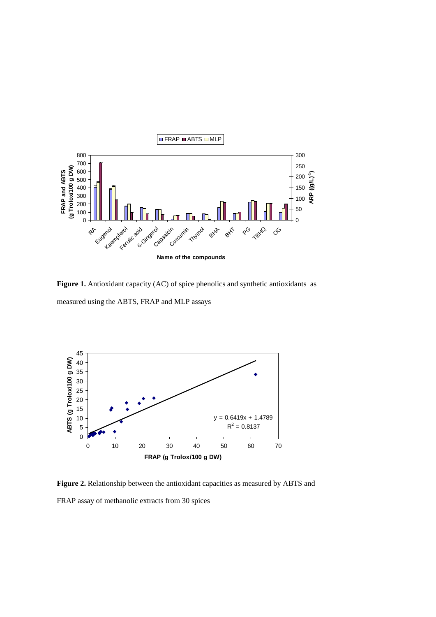

**Figure 1.** Antioxidant capacity (AC) of spice phenolics and synthetic antioxidants as measured using the ABTS, FRAP and MLP assays



**Figure 2.** Relationship between the antioxidant capacities as measured by ABTS and FRAP assay of methanolic extracts from 30 spices